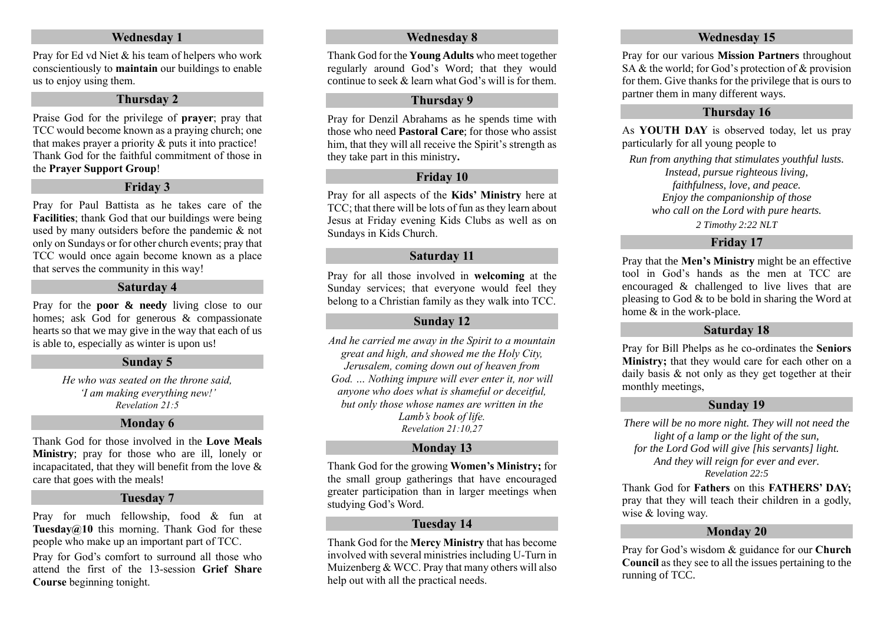#### **Wednesday 1**

Pray for Ed vd Niet & his team of helpers who work conscientiously to **maintain** our buildings to enable us to enjoy using them.

#### **Thursday 2**

Praise God for the privilege of **prayer**; pray that TCC would become known as a praying church; one that makes prayer a priority & puts it into practice! Thank God for the faithful commitment of those in the **Prayer Support Group**!

#### **Friday 3**

Pray for Paul Battista as he takes care of the **Facilities**; thank God that our buildings were being used by many outsiders before the pandemic & not only on Sundays or for other church events; pray that TCC would once again become known as a place that serves the community in this way!

# **Saturday 4**

Pray for the **poor & needy** living close to our homes; ask God for generous & compassionate hearts so that we may give in the way that each of us is able to, especially as winter is upon us!

#### **Sunday 5**

*He who was seated on the throne said, 'I am making everything new!' Revelation 21:5*

#### **Monday 6**

Thank God for those involved in the **Love Meals Ministry**; pray for those who are ill, lonely or incapacitated, that they will benefit from the love  $\&$ care that goes with the meals!

#### **Tuesday 7**

Pray for much fellowship, food & fun at **Tuesday@10** this morning. Thank God for these people who make up an important part of TCC.

Pray for God's comfort to surround all those who attend the first of the 13-session **Grief Share Course** beginning tonight.

#### **Wednesday 8**

Thank God for the **Young Adults** who meet together regularly around God's Word; that they would continue to seek  $\&$  learn what God's will is for them.

#### **Thursday 9**

Pray for Denzil Abrahams as he spends time with those who need **Pastoral Care**; for those who assist him, that they will all receive the Spirit's strength as they take part in this ministry**.**

# **Friday 10**

Pray for all aspects of the **Kids' Ministry** here at TCC; that there will be lots of fun as they learn about Jesus at Friday evening Kids Clubs as well as on Sundays in Kids Church.

#### **Saturday 11**

Pray for all those involved in **welcoming** at the Sunday services: that everyone would feel they belong to a Christian family as they walk into TCC.

#### **Sunday 12**

*And he carried me away in the Spirit to a mountain great and high, and showed me the Holy City, Jerusalem, coming down out of heaven from God. … Nothing impure will ever enter it, nor will anyone who does what is shameful or deceitful, but only those whose names are written in the Lamb's book of life. Revelation 21:10,27*

#### **Monday 13**

Thank God for the growing **Women's Ministry;** for the small group gatherings that have encouraged greater participation than in larger meetings when studying God's Word.

# **Tuesday 14**

Thank God for the **Mercy Ministry** that has become involved with several ministries including U-Turn in Muizenberg & WCC. Pray that many others will also help out with all the practical needs.

#### **Wednesday 15**

Pray for our various **Mission Partners** throughout SA & the world; for God's protection of & provision for them. Give thanks for the privilege that is ours to partner them in many different ways.

# **Thursday 16**

As **YOUTH DAY** is observed today, let us pray particularly for all young people to

*Run from anything that stimulates youthful lusts. Instead, pursue righteous living, faithfulness, love, and peace. Enjoy the companionship of those who call on the Lord with pure hearts.*

*2 Timothy 2:22 NLT*

# **Friday 17**

Pray that the **Men's Ministry** might be an effective tool in God's hands as the men at TCC are encouraged & challenged to live lives that are pleasing to God & to be bold in sharing the Word at home  $\&$  in the work-place.

#### **Saturday 18**

Pray for Bill Phelps as he co-ordinates the **Seniors Ministry;** that they would care for each other on a daily basis & not only as they get together at their monthly meetings,

# **Sunday 19**

*There will be no more night. They will not need the light of a lamp or the light of the sun, for the Lord God will give [his servants] light. And they will reign for ever and ever. Revelation 22:5*

Thank God for **Fathers** on this **FATHERS' DAY;** pray that they will teach their children in a godly, wise & loving way.

# **Monday 20**

Pray for God's wisdom & guidance for our **Church Council** as they see to all the issues pertaining to the running of TCC.